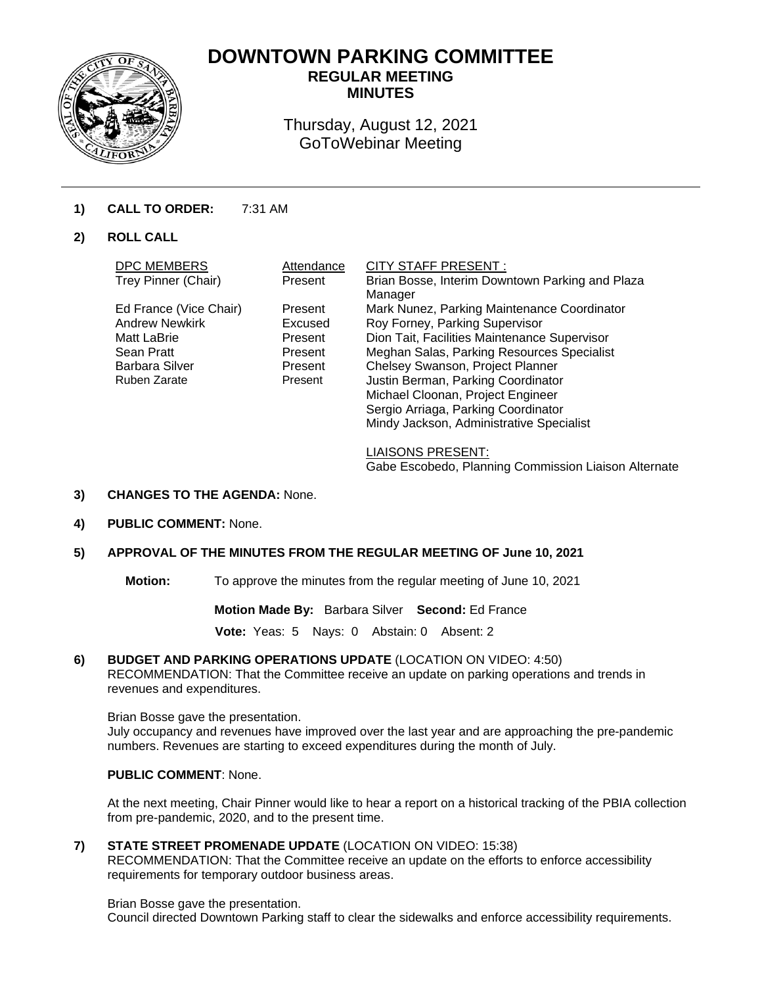

# **DOWNTOWN PARKING COMMITTEE REGULAR MEETING**

**MINUTES** 

Thursday, August 12, 2021 GoToWebinar Meeting

# **1) CALL TO ORDER:** 7:31 AM

# **2) ROLL CALL**

| <b>DPC MEMBERS</b>     | Attendance | <b>CITY STAFF PRESENT:</b>                      |
|------------------------|------------|-------------------------------------------------|
| Trey Pinner (Chair)    | Present    | Brian Bosse, Interim Downtown Parking and Plaza |
|                        |            | Manager                                         |
| Ed France (Vice Chair) | Present    | Mark Nunez, Parking Maintenance Coordinator     |
| <b>Andrew Newkirk</b>  | Excused    | Roy Forney, Parking Supervisor                  |
| Matt LaBrie            | Present    | Dion Tait, Facilities Maintenance Supervisor    |
| Sean Pratt             | Present    | Meghan Salas, Parking Resources Specialist      |
| <b>Barbara Silver</b>  | Present    | Chelsey Swanson, Project Planner                |
| Ruben Zarate           | Present    | Justin Berman, Parking Coordinator              |
|                        |            | Michael Cloonan, Project Engineer               |
|                        |            | Sergio Arriaga, Parking Coordinator             |
|                        |            | Mindy Jackson, Administrative Specialist        |
|                        |            |                                                 |

LIAISONS PRESENT: Gabe Escobedo, Planning Commission Liaison Alternate

- **3) CHANGES TO THE AGENDA:** None.
- **4) PUBLIC COMMENT:** None.

# **5) APPROVAL OF THE MINUTES FROM THE REGULAR MEETING OF June 10, 2021**

**Motion:** To approve the minutes from the regular meeting of June 10, 2021

**Motion Made By:** Barbara Silver **Second:** Ed France

**Vote:** Yeas: 5 Nays: 0 Abstain: 0 Absent: 2

#### **6) BUDGET AND PARKING OPERATIONS UPDATE** (LOCATION ON VIDEO: 4:50)

RECOMMENDATION: That the Committee receive an update on parking operations and trends in revenues and expenditures.

#### Brian Bosse gave the presentation.

July occupancy and revenues have improved over the last year and are approaching the pre-pandemic numbers. Revenues are starting to exceed expenditures during the month of July.

### **PUBLIC COMMENT**: None.

At the next meeting, Chair Pinner would like to hear a report on a historical tracking of the PBIA collection from pre-pandemic, 2020, and to the present time.

**7) STATE STREET PROMENADE UPDATE** (LOCATION ON VIDEO: 15:38)

RECOMMENDATION: That the Committee receive an update on the efforts to enforce accessibility requirements for temporary outdoor business areas.

#### Brian Bosse gave the presentation.

Council directed Downtown Parking staff to clear the sidewalks and enforce accessibility requirements.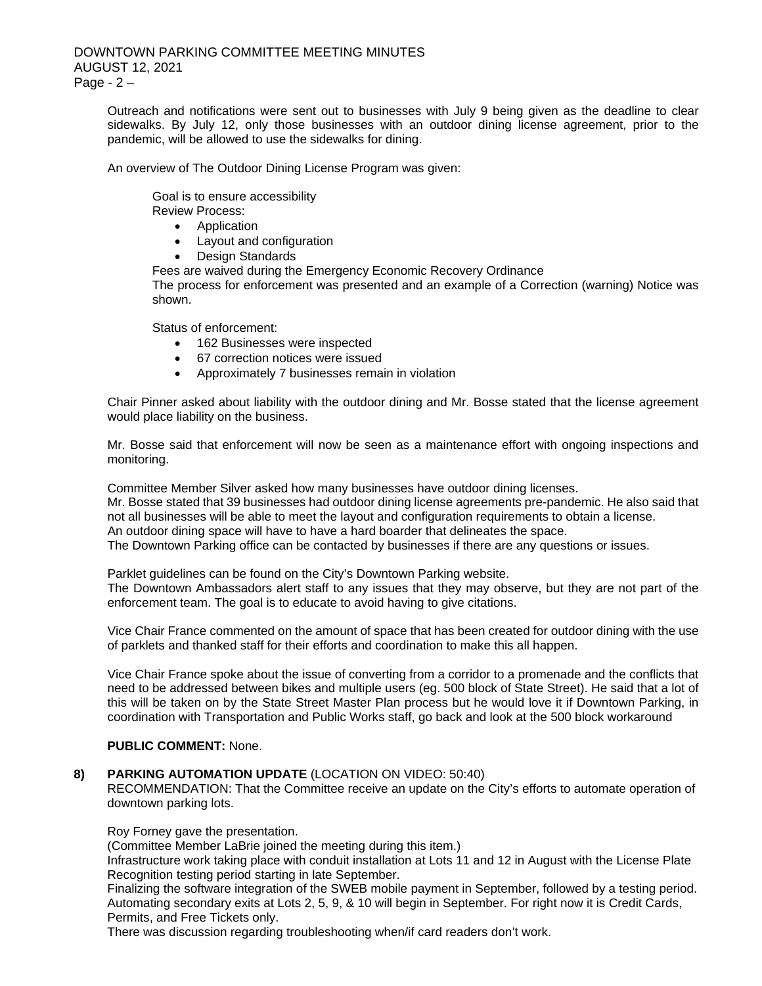Outreach and notifications were sent out to businesses with July 9 being given as the deadline to clear sidewalks. By July 12, only those businesses with an outdoor dining license agreement, prior to the pandemic, will be allowed to use the sidewalks for dining.

An overview of The Outdoor Dining License Program was given:

Goal is to ensure accessibility Review Process:

• Application

- Layout and configuration
- Design Standards

Fees are waived during the Emergency Economic Recovery Ordinance The process for enforcement was presented and an example of a Correction (warning) Notice was shown.

Status of enforcement:

- 162 Businesses were inspected
- 67 correction notices were issued
- Approximately 7 businesses remain in violation

Chair Pinner asked about liability with the outdoor dining and Mr. Bosse stated that the license agreement would place liability on the business.

Mr. Bosse said that enforcement will now be seen as a maintenance effort with ongoing inspections and monitoring.

Committee Member Silver asked how many businesses have outdoor dining licenses. Mr. Bosse stated that 39 businesses had outdoor dining license agreements pre-pandemic. He also said that not all businesses will be able to meet the layout and configuration requirements to obtain a license. An outdoor dining space will have to have a hard boarder that delineates the space. The Downtown Parking office can be contacted by businesses if there are any questions or issues.

Parklet guidelines can be found on the City's Downtown Parking website. The Downtown Ambassadors alert staff to any issues that they may observe, but they are not part of the enforcement team. The goal is to educate to avoid having to give citations.

Vice Chair France commented on the amount of space that has been created for outdoor dining with the use of parklets and thanked staff for their efforts and coordination to make this all happen.

Vice Chair France spoke about the issue of converting from a corridor to a promenade and the conflicts that need to be addressed between bikes and multiple users (eg. 500 block of State Street). He said that a lot of this will be taken on by the State Street Master Plan process but he would love it if Downtown Parking, in coordination with Transportation and Public Works staff, go back and look at the 500 block workaround

#### **PUBLIC COMMENT:** None.

# **8) PARKING AUTOMATION UPDATE** (LOCATION ON VIDEO: 50:40)

RECOMMENDATION: That the Committee receive an update on the City's efforts to automate operation of downtown parking lots.

Roy Forney gave the presentation.

(Committee Member LaBrie joined the meeting during this item.)

Infrastructure work taking place with conduit installation at Lots 11 and 12 in August with the License Plate Recognition testing period starting in late September.

Finalizing the software integration of the SWEB mobile payment in September, followed by a testing period. Automating secondary exits at Lots 2, 5, 9, & 10 will begin in September. For right now it is Credit Cards, Permits, and Free Tickets only.

There was discussion regarding troubleshooting when/if card readers don't work.